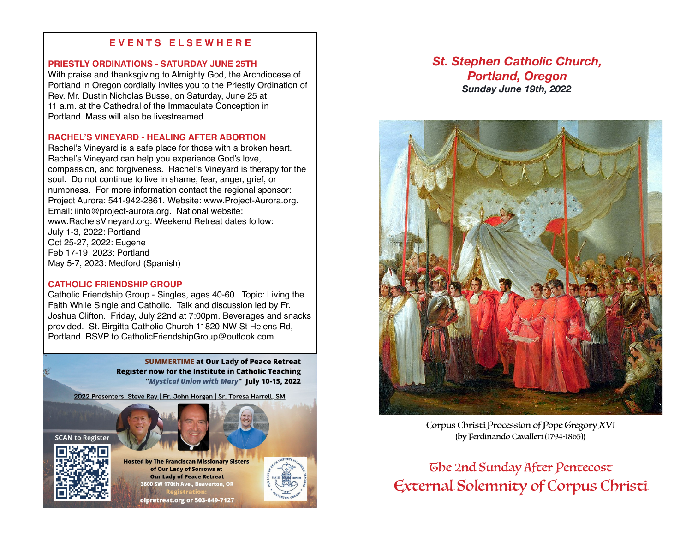## **E V E N T S E L S E W H E R E**

## **PRIESTLY ORDINATIONS - SATURDAY JUNE 25TH**

With praise and thanksgiving to Almighty God, the Archdiocese of Portland in Oregon cordially invites you to the Priestly Ordination of Rev. Mr. Dustin Nicholas Busse, on Saturday, June 25 at 11 a.m. at the Cathedral of the Immaculate Conception in Portland. Mass will also be livestreamed.

## **RACHEL'S VINEYARD - HEALING AFTER ABORTION**

Rachel's Vineyard is a safe place for those with a broken heart. Rachel's Vineyard can help you experience God's love, compassion, and forgiveness. Rachel's Vineyard is therapy for the soul. Do not continue to live in shame, fear, anger, grief, or numbness. For more information contact the regional sponsor: Project Aurora: 541-942-2861. Website: www.Project-Aurora.org. Email: iinfo@project-aurora.org. National website: www.RachelsVineyard.org. Weekend Retreat dates follow: July 1-3, 2022: Portland Oct 25-27, 2022: Eugene Feb 17-19, 2023: Portland May 5-7, 2023: Medford (Spanish)

## **CATHOLIC FRIENDSHIP GROUP**

Catholic Friendship Group - Singles, ages 40-60. Topic: Living the Faith While Single and Catholic. Talk and discussion led by Fr. Joshua Clifton. Friday, July 22nd at 7:00pm. Beverages and snacks provided. St. Birgitta Catholic Church 11820 NW St Helens Rd, Portland. RSVP to CatholicFriendshipGroup@outlook.com.

> **SUMMERTIME at Our Lady of Peace Retreat Register now for the Institute in Catholic Teaching** "Mystical Union with Mary" July 10-15, 2022

2022 Presenters: Steve Ray | Fr. John Horgan | Sr. Teresa Harrell, SM





**Hosted by The Franciscan Missionary Sisters** of Our Lady of Sorrows at **Our Lady of Peace Retreat** 0 SW 170th Ave., Beaverton, O

olpretreat.org or 503-649-7127

# *St. Stephen Catholic Church, Portland, Oregon Sunday June 19th, 2022*



Corpus Christi Procession of Pope Gregory XVI {by Ferdinando Cavalleri (1794-1865)}

The 2nd Sunday After Pentecost External Solemnity of Corpus Christi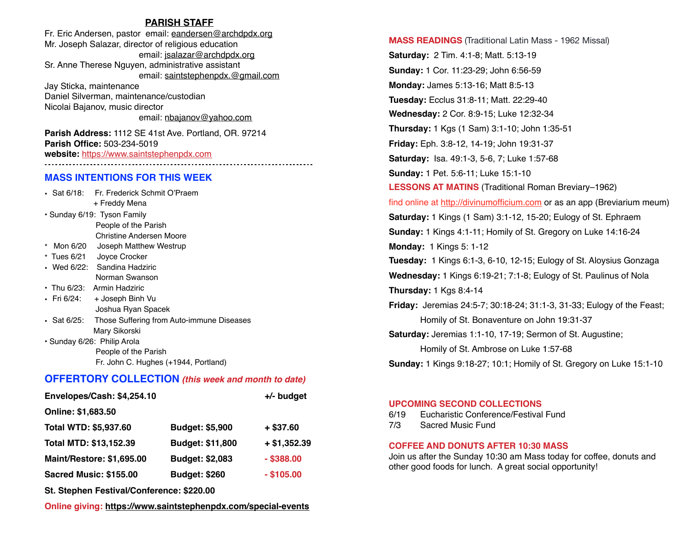## **PARISH STAFF**

Fr. Eric Andersen, pastor email: [eandersen@archdpdx.org](mailto:eandersen@archdpdx.org) Mr. Joseph Salazar, director of religious education email: [jsalazar@archdpdx.org](mailto:jsalazar@archdpdx.org) Sr. Anne Therese Nguyen, administrative assistant email: saintstephenpdx.@[gmail.com](http://gmail.com) Jay Sticka, maintenance

Daniel Silverman, maintenance/custodian Nicolai Bajanov, music director email: [nbajanov@yahoo.com](mailto:nbajanov@yahoo.com)

**Parish Address:** 1112 SE 41st Ave. Portland, OR. 97214 **Parish Office:** 503-234-5019 **website:** <https://www.saintstephenpdx.com>

## **MASS INTENTIONS FOR THIS WEEK**

|                             | • Sat 6/18: Fr. Frederick Schmit O'Praem  |  |
|-----------------------------|-------------------------------------------|--|
|                             | + Freddy Mena                             |  |
| • Sunday 6/19: Tyson Family |                                           |  |
|                             | People of the Parish                      |  |
|                             | Christine Andersen Moore                  |  |
|                             | * Mon 6/20 Joseph Matthew Westrup         |  |
|                             | * Tues 6/21 Joyce Crocker                 |  |
|                             | • Wed 6/22: Sandina Hadziric              |  |
|                             | Norman Swanson                            |  |
|                             | • Thu 6/23: Armin Hadziric                |  |
| • Fri 6/24:                 | + Joseph Binh Vu                          |  |
|                             | Joshua Ryan Spacek                        |  |
| • Sat 6/25:                 | Those Suffering from Auto-immune Diseases |  |
|                             | Mary Sikorski                             |  |
| · Sunday 6/26: Philip Arola |                                           |  |
|                             | People of the Parish                      |  |
|                             | Fr. John C. Hughes (+1944, Portland)      |  |

# **OFFERTORY COLLECTION** *(this week and month to date)*

| Envelopes/Cash: \$4,254.10    | $+/-$ budget         |               |
|-------------------------------|----------------------|---------------|
| Online: \$1,683.50            |                      |               |
| Total WTD: \$5,937.60         | Budget: \$5,900      | $+$ \$37.60   |
| Total MTD: \$13,152.39        | Budget: \$11,800     | $+ $1,352.39$ |
| Maint/Restore: \$1,695.00     | Budget: \$2,083      | $-$ \$388.00  |
| <b>Sacred Music: \$155.00</b> | <b>Budget: \$260</b> | $-$ \$105.00  |
|                               |                      |               |

**St. Stephen Festival/Conference: \$220.00**

**Online giving: <https://www.saintstephenpdx.com/special-events>**

**MASS READINGS** (Traditional Latin Mass - 1962 Missal) **Saturday:** 2 Tim. 4:1-8; Matt. 5:13-19 **Sunday:** 1 Cor. 11:23-29; John 6:56-59 **Monday:** James 5:13-16; Matt 8:5-13 **Tuesday:** Ecclus 31:8-11; Matt. 22:29-40 **Wednesday:** 2 Cor. 8:9-15; Luke 12:32-34 **Thursday:** 1 Kgs (1 Sam) 3:1-10; John 1:35-51 **Friday:** Eph. 3:8-12, 14-19; John 19:31-37 **Saturday:** Isa. 49:1-3, 5-6, 7; Luke 1:57-68 **Sunday:** 1 Pet. 5:6-11; Luke 15:1-10 **LESSONS AT MATINS** (Traditional Roman Breviary–1962) find online at <http://divinumofficium.com> or as an app (Breviarium meum) **Saturday:** 1 Kings (1 Sam) 3:1-12, 15-20; Eulogy of St. Ephraem **Sunday:** 1 Kings 4:1-11; Homily of St. Gregory on Luke 14:16-24 **Monday:** 1 Kings 5: 1-12 **Tuesday:** 1 Kings 6:1-3, 6-10, 12-15; Eulogy of St. Aloysius Gonzaga **Wednesday:** 1 Kings 6:19-21; 7:1-8; Eulogy of St. Paulinus of Nola **Thursday:** 1 Kgs 8:4-14 **Friday:** Jeremias 24:5-7; 30:18-24; 31:1-3, 31-33; Eulogy of the Feast; Homily of St. Bonaventure on John 19:31-37 **Saturday:** Jeremias 1:1-10, 17-19; Sermon of St. Augustine; Homily of St. Ambrose on Luke 1:57-68 **Sunday:** 1 Kings 9:18-27; 10:1; Homily of St. Gregory on Luke 15:1-10

#### **UPCOMING SECOND COLLECTIONS**

6/19 Eucharistic Conference/Festival Fund

7/3 Sacred Music Fund

#### **COFFEE AND DONUTS AFTER 10:30 MASS**

Join us after the Sunday 10:30 am Mass today for coffee, donuts and other good foods for lunch. A great social opportunity!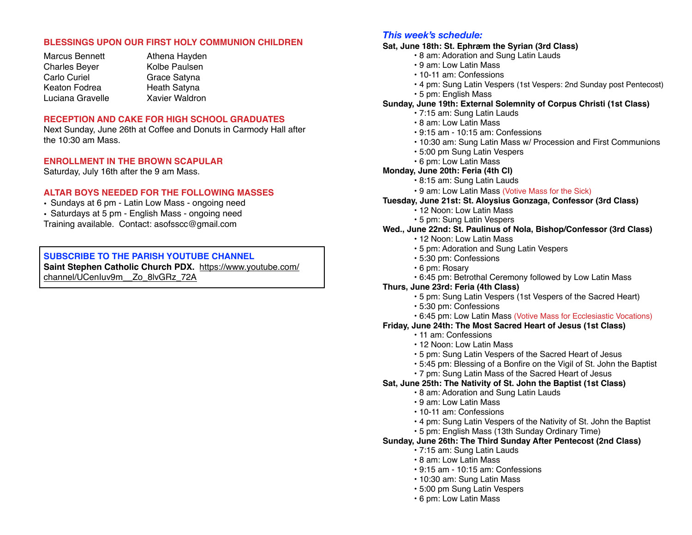## **BLESSINGS UPON OUR FIRST HOLY COMMUNION CHILDREN**

- Marcus Bennett Charles Beyer Carlo Curiel Keaton Fodrea Luciana Gravelle
- Athena Hayden Kolbe Paulsen Grace Satyna Heath Satyna Xavier Waldron

## **RECEPTION AND CAKE FOR HIGH SCHOOL GRADUATES**

Next Sunday, June 26th at Coffee and Donuts in Carmody Hall after the 10:30 am Mass.

## **ENROLLMENT IN THE BROWN SCAPULAR**

Saturday, July 16th after the 9 am Mass.

## **ALTAR BOYS NEEDED FOR THE FOLLOWING MASSES**

- Sundays at 6 pm Latin Low Mass ongoing need
- Saturdays at 5 pm English Mass ongoing need
- Training available. Contact: asofsscc@gmail.com

## **SUBSCRIBE TO THE PARISH YOUTUBE CHANNEL**

**Saint Stephen Catholic Church PDX.** [https://www.youtube.com/](https://www.youtube.com/channel/UCenIuv9m__Zo_8lvGRz_72A) [channel/UCenIuv9m\\_\\_Zo\\_8lvGRz\\_72A](https://www.youtube.com/channel/UCenIuv9m__Zo_8lvGRz_72A)

## *This week's schedule:*

- **Sat, June 18th: St. Ephræm the Syrian (3rd Class)**
	- 8 am: Adoration and Sung Latin Lauds
	- 9 am: Low Latin Mass
	- 10-11 am: Confessions
	- 4 pm: Sung Latin Vespers (1st Vespers: 2nd Sunday post Pentecost)
	- 5 pm: English Mass

#### **Sunday, June 19th: External Solemnity of Corpus Christi (1st Class)**

- 7:15 am: Sung Latin Lauds
- 8 am: Low Latin Mass
- 9:15 am 10:15 am: Confessions
- 10:30 am: Sung Latin Mass w/ Procession and First Communions
- 5:00 pm Sung Latin Vespers
- 6 pm: Low Latin Mass

#### **Monday, June 20th: Feria (4th Cl)**

- 8:15 am: Sung Latin Lauds
- 9 am: Low Latin Mass (Votive Mass for the Sick)

#### **Tuesday, June 21st: St. Aloysius Gonzaga, Confessor (3rd Class)**

- 12 Noon: Low Latin Mass
- 5 pm: Sung Latin Vespers

## **Wed., June 22nd: St. Paulinus of Nola, Bishop/Confessor (3rd Class)**

- 12 Noon: Low Latin Mass
- 5 pm: Adoration and Sung Latin Vespers
- 5:30 pm: Confessions
- 6 pm: Rosary
- 6:45 pm: Betrothal Ceremony followed by Low Latin Mass
- **Thurs, June 23rd: Feria (4th Class)**
	- 5 pm: Sung Latin Vespers (1st Vespers of the Sacred Heart)
	- 5:30 pm: Confessions
	- 6:45 pm: Low Latin Mass (Votive Mass for Ecclesiastic Vocations)

## **Friday, June 24th: The Most Sacred Heart of Jesus (1st Class)**

- 11 am: Confessions
- 12 Noon: Low Latin Mass
- 5 pm: Sung Latin Vespers of the Sacred Heart of Jesus
- 5:45 pm: Blessing of a Bonfire on the Vigil of St. John the Baptist
- 7 pm: Sung Latin Mass of the Sacred Heart of Jesus

#### **Sat, June 25th: The Nativity of St. John the Baptist (1st Class)**

- 8 am: Adoration and Sung Latin Lauds
- 9 am: Low Latin Mass
- 10-11 am: Confessions
- 4 pm: Sung Latin Vespers of the Nativity of St. John the Baptist
- 5 pm: English Mass (13th Sunday Ordinary Time)

#### **Sunday, June 26th: The Third Sunday After Pentecost (2nd Class)**

- 7:15 am: Sung Latin Lauds
- 8 am: Low Latin Mass
- 9:15 am 10:15 am: Confessions
- 10:30 am: Sung Latin Mass
- 5:00 pm Sung Latin Vespers
- 6 pm: Low Latin Mass